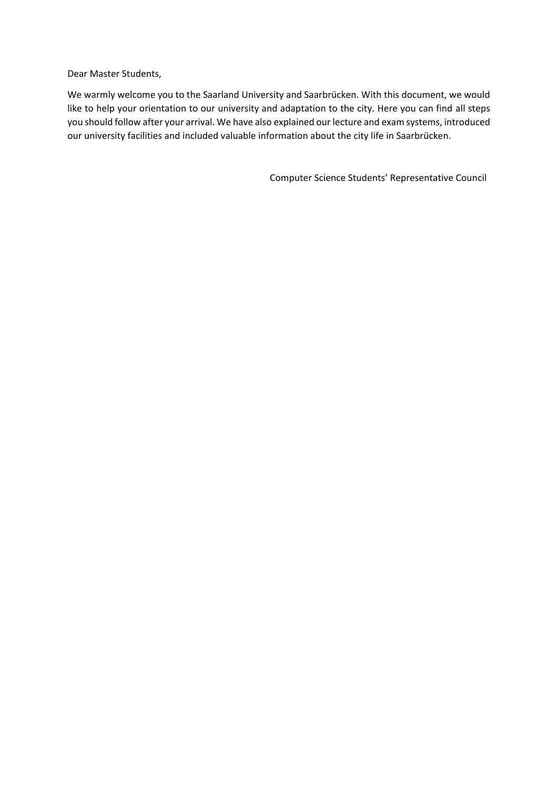Dear Master Students,

We warmly welcome you to the Saarland University and Saarbrücken. With this document, we would like to help your orientation to our university and adaptation to the city. Here you can find all steps you should follow after your arrival. We have also explained our lecture and exam systems, introduced our university facilities and included valuable information about the city life in Saarbrücken.

Computer Science Students' Representative Council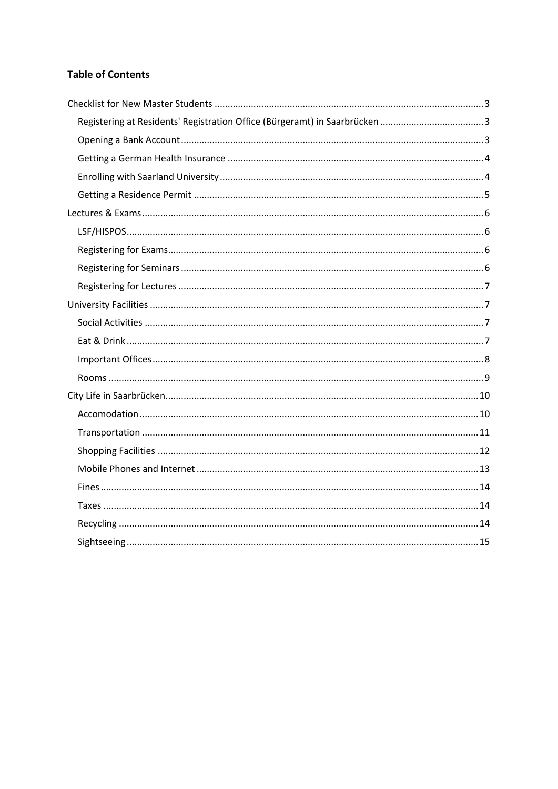# **Table of Contents**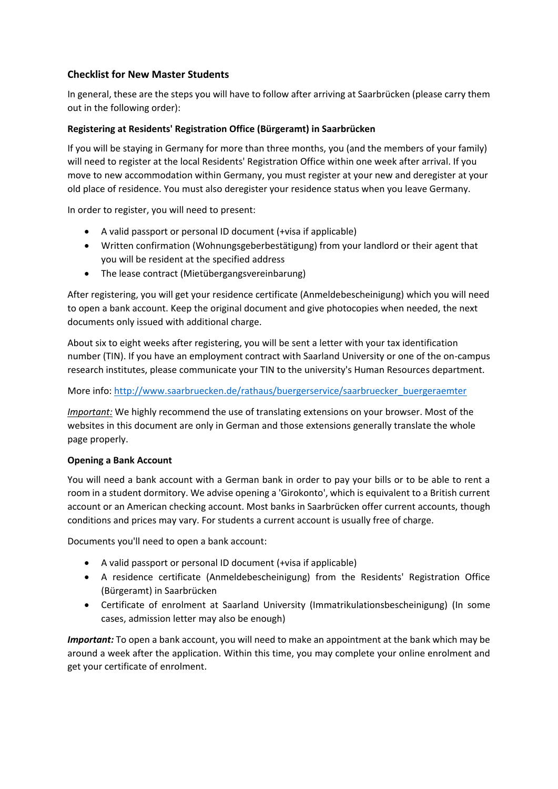## <span id="page-2-0"></span>**Checklist for New Master Students**

In general, these are the steps you will have to follow after arriving at Saarbrücken (please carry them out in the following order):

## <span id="page-2-1"></span>**Registering at Residents' Registration Office (Bürgeramt) in Saarbrücken**

If you will be staying in Germany for more than three months, you (and the members of your family) will need to register at the local Residents' Registration Office within one week after arrival. If you move to new accommodation within Germany, you must register at your new and deregister at your old place of residence. You must also deregister your residence status when you leave Germany.

In order to register, you will need to present:

- A valid passport or personal ID document (+visa if applicable)
- Written confirmation (Wohnungsgeberbestätigung) from your landlord or their agent that you will be resident at the specified address
- The lease contract (Mietübergangsvereinbarung)

After registering, you will get your residence certificate (Anmeldebescheinigung) which you will need to open a bank account. Keep the original document and give photocopies when needed, the next documents only issued with additional charge.

About six to eight weeks after registering, you will be sent a letter with your tax identification number (TIN). If you have an employment contract with Saarland University or one of the on-campus research institutes, please communicate your TIN to the university's Human Resources department.

#### More info: [http://www.saarbruecken.de/rathaus/buergerservice/saarbruecker\\_buergeraemter](http://www.saarbruecken.de/rathaus/buergerservice/saarbruecker_buergeraemter)

*Important:* We highly recommend the use of translating extensions on your browser. Most of the websites in this document are only in German and those extensions generally translate the whole page properly.

#### <span id="page-2-2"></span>**Opening a Bank Account**

You will need a bank account with a German bank in order to pay your bills or to be able to rent a room in a student dormitory. We advise opening a 'Girokonto', which is equivalent to a British current account or an American checking account. Most banks in Saarbrücken offer current accounts, though conditions and prices may vary. For students a current account is usually free of charge.

Documents you'll need to open a bank account:

- A valid passport or personal ID document (+visa if applicable)
- A residence certificate (Anmeldebescheinigung) from the Residents' Registration Office (Bürgeramt) in Saarbrücken
- Certificate of enrolment at Saarland University (Immatrikulationsbescheinigung) (In some cases, admission letter may also be enough)

*Important:* To open a bank account, you will need to make an appointment at the bank which may be around a week after the application. Within this time, you may complete your online enrolment and get your certificate of enrolment.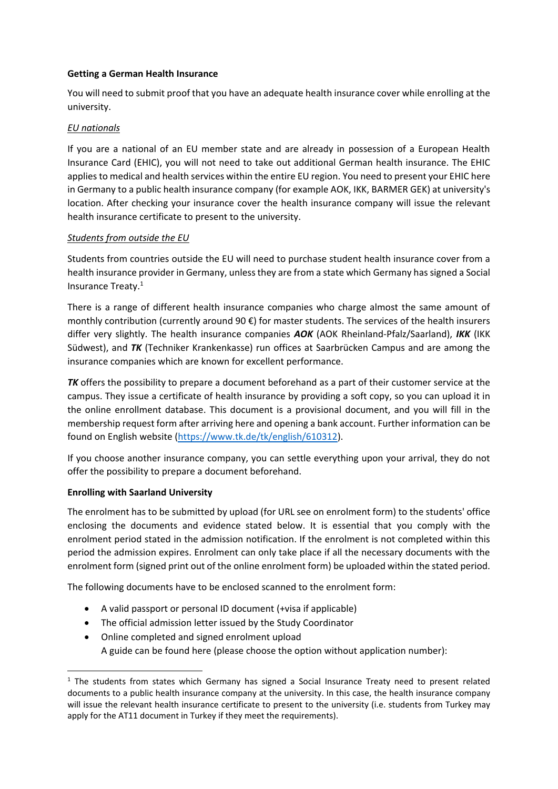### <span id="page-3-0"></span>**Getting a German Health Insurance**

You will need to submit proof that you have an adequate health insurance cover while enrolling at the university.

### *EU nationals*

If you are a national of an EU member state and are already in possession of a European Health Insurance Card (EHIC), you will not need to take out additional German health insurance. The EHIC applies to medical and health services within the entire EU region. You need to present your EHIC here in Germany to a public health insurance company (for example AOK, IKK, BARMER GEK) at university's location. After checking your insurance cover the health insurance company will issue the relevant health insurance certificate to present to the university.

## *Students from outside the EU*

Students from countries outside the EU will need to purchase student health insurance cover from a health insurance provider in Germany, unless they are from a state which Germany has signed a Social Insurance Treaty.<sup>1</sup>

There is a range of different health insurance companies who charge almost the same amount of monthly contribution (currently around 90  $\epsilon$ ) for master students. The services of the health insurers differ very slightly. The health insurance companies *AOK* (AOK Rheinland-Pfalz/Saarland), *IKK* (IKK Südwest), and *TK* (Techniker Krankenkasse) run offices at Saarbrücken Campus and are among the insurance companies which are known for excellent performance.

*TK* offers the possibility to prepare a document beforehand as a part of their customer service at the campus. They issue a certificate of health insurance by providing a soft copy, so you can upload it in the online enrollment database. This document is a provisional document, and you will fill in the membership request form after arriving here and opening a bank account. Further information can be found on English website [\(https://www.tk.de/tk/english/610312\)](https://www.tk.de/tk/english/610312).

If you choose another insurance company, you can settle everything upon your arrival, they do not offer the possibility to prepare a document beforehand.

## <span id="page-3-1"></span>**Enrolling with Saarland University**

1

The enrolment has to be submitted by upload (for URL see on enrolment form) to the students' office enclosing the documents and evidence stated below. It is essential that you comply with the enrolment period stated in the admission notification. If the enrolment is not completed within this period the admission expires. Enrolment can only take place if all the necessary documents with the enrolment form (signed print out of the online enrolment form) be uploaded within the stated period.

The following documents have to be enclosed scanned to the enrolment form:

- A valid passport or personal ID document (+visa if applicable)
- The official admission letter issued by the Study Coordinator
- Online completed and signed enrolment upload A guide can be found here (please choose the option without application number):

 $1$  The students from states which Germany has signed a Social Insurance Treaty need to present related documents to a public health insurance company at the university. In this case, the health insurance company will issue the relevant health insurance certificate to present to the university (i.e. students from Turkey may apply for the AT11 document in Turkey if they meet the requirements).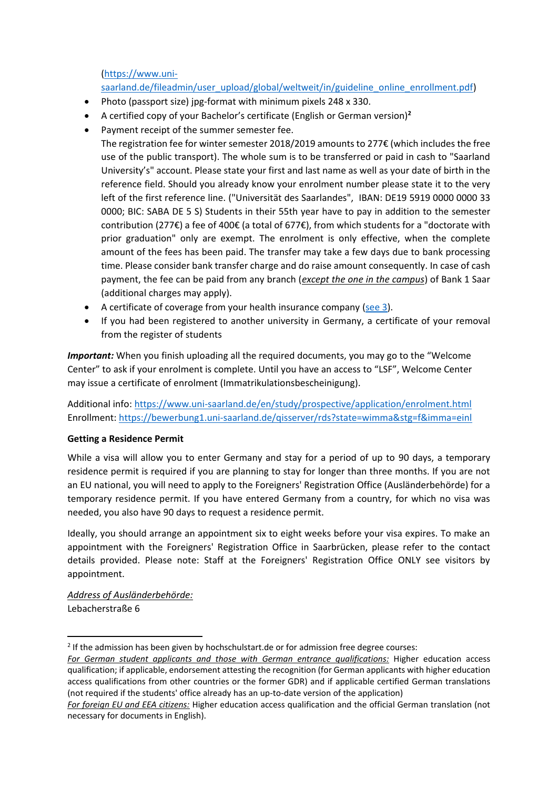[\(https://www.uni-](https://www.uni-saarland.de/fileadmin/user_upload/global/weltweit/in/guideline_online_enrollment.pdf)

# [saarland.de/fileadmin/user\\_upload/global/weltweit/in/guideline\\_online\\_enrollment.pdf\)](https://www.uni-saarland.de/fileadmin/user_upload/global/weltweit/in/guideline_online_enrollment.pdf)

- Photo (passport size) jpg-format with minimum pixels 248 x 330.
- A certified copy of your Bachelor's certificate (English or German version)**<sup>2</sup>**
- Payment receipt of the summer semester fee.

The registration fee for winter semester 2018/2019 amounts to 277€ (which includes the free use of the public transport). The whole sum is to be transferred or paid in cash to "Saarland University's" account. Please state your first and last name as well as your date of birth in the reference field. Should you already know your enrolment number please state it to the very left of the first reference line. ("Universität des Saarlandes", IBAN: DE19 5919 0000 0000 33 0000; BIC: SABA DE 5 S) Students in their 55th year have to pay in addition to the semester contribution (277€) a fee of 400€ (a total of 677€), from which students for a "doctorate with prior graduation" only are exempt. The enrolment is only effective, when the complete amount of the fees has been paid. The transfer may take a few days due to bank processing time. Please consider bank transfer charge and do raise amount consequently. In case of cash payment, the fee can be paid from any branch (*except the one in the campus*) of Bank 1 Saar (additional charges may apply).

- A certificate of coverage from your health insurance company [\(see 3\)](#page-3-0).
- If you had been registered to another university in Germany, a certificate of your removal from the register of students

*Important:* When you finish uploading all the required documents, you may go to the "Welcome Center" to ask if your enrolment is complete. Until you have an access to "LSF", Welcome Center may issue a certificate of enrolment (Immatrikulationsbescheinigung).

Additional info: <https://www.uni-saarland.de/en/study/prospective/application/enrolment.html> Enrollment:<https://bewerbung1.uni-saarland.de/qisserver/rds?state=wimma&stg=f&imma=einl>

## <span id="page-4-0"></span>**Getting a Residence Permit**

While a visa will allow you to enter Germany and stay for a period of up to 90 days, a temporary residence permit is required if you are planning to stay for longer than three months. If you are not an EU national, you will need to apply to the Foreigners' Registration Office (Ausländerbehörde) for a temporary residence permit. If you have entered Germany from a country, for which no visa was needed, you also have 90 days to request a residence permit.

Ideally, you should arrange an appointment six to eight weeks before your visa expires. To make an appointment with the Foreigners' Registration Office in Saarbrücken, please refer to the contact details provided. Please note: Staff at the Foreigners' Registration Office ONLY see visitors by appointment.

*Address of Ausländerbehörde:* Lebacherstraße 6

**.** 

<sup>&</sup>lt;sup>2</sup> If the admission has been given by hochschulstart.de or for admission free degree courses:

*For German student applicants and those with German entrance qualifications:* Higher education access qualification; if applicable, endorsement attesting the recognition (for German applicants with higher education access qualifications from other countries or the former GDR) and if applicable certified German translations (not required if the students' office already has an up-to-date version of the application)

*For foreign EU and EEA citizens:* Higher education access qualification and the official German translation (not necessary for documents in English).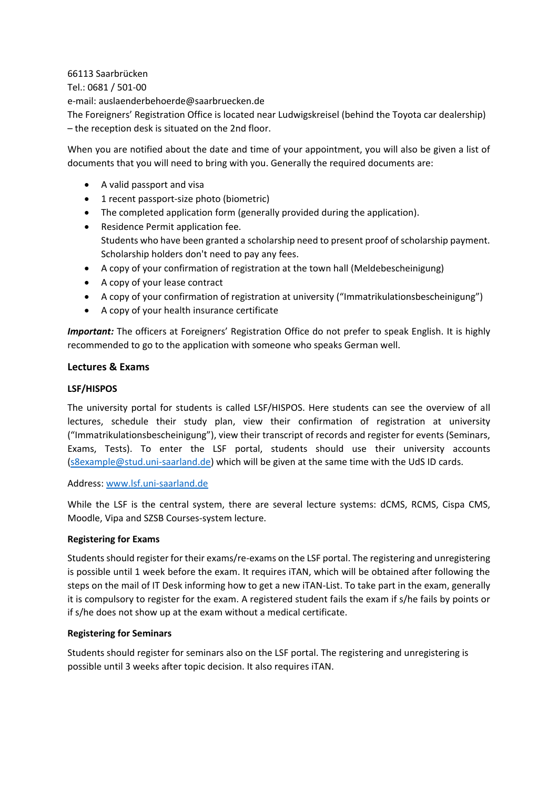66113 Saarbrücken Tel.: 0681 / 501-00 e-mail: auslaenderbehoerde@saarbruecken.de The Foreigners' Registration Office is located near Ludwigskreisel (behind the Toyota car dealership) – the reception desk is situated on the 2nd floor.

When you are notified about the date and time of your appointment, you will also be given a list of documents that you will need to bring with you. Generally the required documents are:

- A valid passport and visa
- 1 recent passport-size photo (biometric)
- The completed application form (generally provided during the application).
- Residence Permit application fee. Students who have been granted a scholarship need to present proof of scholarship payment. Scholarship holders don't need to pay any fees.
- A copy of your confirmation of registration at the town hall (Meldebescheinigung)
- A copy of your lease contract
- A copy of your confirmation of registration at university ("Immatrikulationsbescheinigung")
- A copy of your health insurance certificate

*Important:* The officers at Foreigners' Registration Office do not prefer to speak English. It is highly recommended to go to the application with someone who speaks German well.

#### <span id="page-5-0"></span>**Lectures & Exams**

#### <span id="page-5-1"></span>**LSF/HISPOS**

The university portal for students is called LSF/HISPOS. Here students can see the overview of all lectures, schedule their study plan, view their confirmation of registration at university ("Immatrikulationsbescheinigung"), view their transcript of records and register for events (Seminars, Exams, Tests). To enter the LSF portal, students should use their university accounts [\(s8example@stud.uni-saarland.de\)](mailto:s8example@stud.uni-saarland.de) which will be given at the same time with the UdS ID cards.

#### Address: [www.lsf.uni-saarland.de](http://www.lsf.uni-saarland.de/)

While the LSF is the central system, there are several lecture systems: dCMS, RCMS, Cispa CMS, Moodle, Vipa and SZSB Courses-system lecture.

#### <span id="page-5-2"></span>**Registering for Exams**

Students should register for their exams/re-exams on the LSF portal. The registering and unregistering is possible until 1 week before the exam. It requires iTAN, which will be obtained after following the steps on the mail of IT Desk informing how to get a new iTAN-List. To take part in the exam, generally it is compulsory to register for the exam. A registered student fails the exam if s/he fails by points or if s/he does not show up at the exam without a medical certificate.

#### <span id="page-5-3"></span>**Registering for Seminars**

Students should register for seminars also on the LSF portal. The registering and unregistering is possible until 3 weeks after topic decision. It also requires iTAN.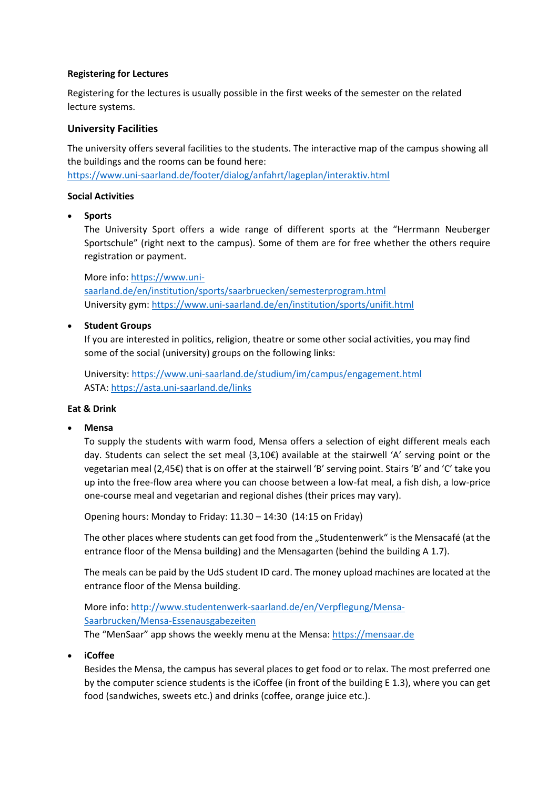### <span id="page-6-0"></span>**Registering for Lectures**

Registering for the lectures is usually possible in the first weeks of the semester on the related lecture systems.

### <span id="page-6-1"></span>**University Facilities**

The university offers several facilities to the students. The interactive map of the campus showing all the buildings and the rooms can be found here:

<https://www.uni-saarland.de/footer/dialog/anfahrt/lageplan/interaktiv.html>

#### <span id="page-6-2"></span>**Social Activities**

**Sports**

The University Sport offers a wide range of different sports at the "Herrmann Neuberger Sportschule" (right next to the campus). Some of them are for free whether the others require registration or payment.

More info: [https://www.uni-](https://www.uni-saarland.de/en/institution/sports/saarbruecken/semesterprogram.html##/Home/KursListe?filter=eyJLYXRlZ29yaWVJRExpc3QiOiJbMSwyLDQsNiw4LDksMTAsMjMsMjRdIiwgIkNhbXB1c0lEIjoxLCAibW9kZSI6IlNwb3J0In0)

[saarland.de/en/institution/sports/saarbruecken/semesterprogram.html](https://www.uni-saarland.de/en/institution/sports/saarbruecken/semesterprogram.html##/Home/KursListe?filter=eyJLYXRlZ29yaWVJRExpc3QiOiJbMSwyLDQsNiw4LDksMTAsMjMsMjRdIiwgIkNhbXB1c0lEIjoxLCAibW9kZSI6IlNwb3J0In0) University gym:<https://www.uni-saarland.de/en/institution/sports/unifit.html>

### **•** Student Groups

If you are interested in politics, religion, theatre or some other social activities, you may find some of the social (university) groups on the following links:

University[: https://www.uni-saarland.de/studium/im/campus/engagement.html](https://www.uni-saarland.de/studium/im/campus/engagement.html) ASTA[: https://asta.uni-saarland.de/links](https://asta.uni-saarland.de/links)

#### <span id="page-6-3"></span>**Eat & Drink**

#### **Mensa**

To supply the students with warm food, Mensa offers a selection of eight different meals each day. Students can select the set meal (3,10€) available at the stairwell 'A' serving point or the vegetarian meal (2,45€) that is on offer at the stairwell 'B' serving point. Stairs 'B' and 'C' take you up into the free-flow area where you can choose between a low-fat meal, a fish dish, a low-price one-course meal and vegetarian and regional dishes (their prices may vary).

Opening hours: Monday to Friday: 11.30 – 14:30 (14:15 on Friday)

The other places where students can get food from the "Studentenwerk" is the Mensacafé (at the entrance floor of the Mensa building) and the Mensagarten (behind the building A 1.7).

The meals can be paid by the UdS student ID card. The money upload machines are located at the entrance floor of the Mensa building.

More info: [http://www.studentenwerk-saarland.de/en/Verpflegung/Mensa-](http://www.studentenwerk-saarland.de/en/Verpflegung/Mensa-Saarbrucken/Mensa-Essenausgabezeiten)[Saarbrucken/Mensa-Essenausgabezeiten](http://www.studentenwerk-saarland.de/en/Verpflegung/Mensa-Saarbrucken/Mensa-Essenausgabezeiten) The "MenSaar" app shows the weekly menu at the Mensa: [https://mensaar.de](https://mensaar.de/)

**iCoffee**

Besides the Mensa, the campus has several places to get food or to relax. The most preferred one by the computer science students is the iCoffee (in front of the building E 1.3), where you can get food (sandwiches, sweets etc.) and drinks (coffee, orange juice etc.).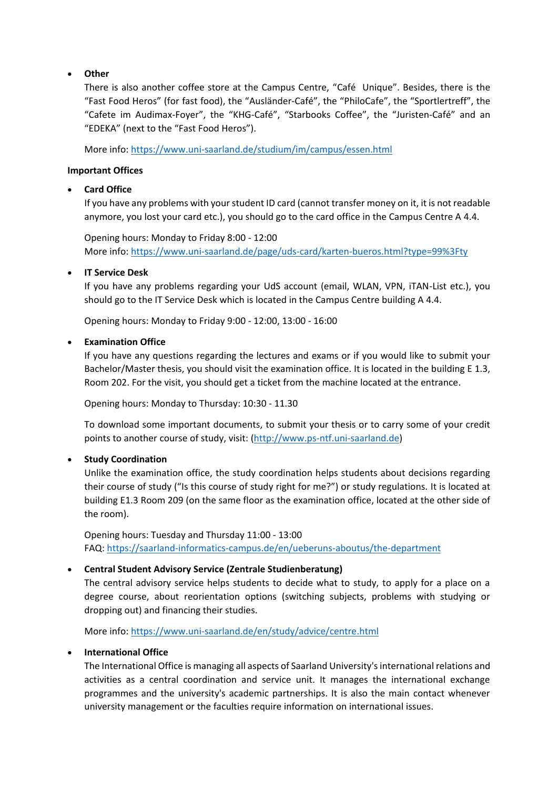### **Other**

There is also another coffee store at the Campus Centre, "Café Unique". Besides, there is the "Fast Food Heros" (for fast food), the "Ausländer-Café", the "PhiloCafe", the "Sportlertreff", the "Cafete im Audimax-Foyer", the "KHG-Café", "Starbooks Coffee", the "Juristen-Café" and an "EDEKA" (next to the "Fast Food Heros").

More info:<https://www.uni-saarland.de/studium/im/campus/essen.html>

### <span id="page-7-0"></span>**Important Offices**

### **Card Office**

If you have any problems with your student ID card (cannot transfer money on it, it is not readable anymore, you lost your card etc.), you should go to the card office in the Campus Centre A 4.4.

Opening hours: Monday to Friday 8:00 - 12:00 More info: <https://www.uni-saarland.de/page/uds-card/karten-bueros.html?type=99%3Fty>

### **IT Service Desk**

If you have any problems regarding your UdS account (email, WLAN, VPN, iTAN-List etc.), you should go to the IT Service Desk which is located in the Campus Centre building A 4.4.

Opening hours: Monday to Friday 9:00 - 12:00, 13:00 - 16:00

### **Examination Office**

If you have any questions regarding the lectures and exams or if you would like to submit your Bachelor/Master thesis, you should visit the examination office. It is located in the building E 1.3, Room 202. For the visit, you should get a ticket from the machine located at the entrance.

Opening hours: Monday to Thursday: 10:30 - 11.30

To download some important documents, to submit your thesis or to carry some of your credit points to another course of study, visit: [\(http://www.ps-ntf.uni-saarland.de\)](http://www.ps-ntf.uni-saarland.de/)

#### **Study Coordination**

Unlike the examination office, the study coordination helps students about decisions regarding their course of study ("Is this course of study right for me?") or study regulations. It is located at building E1.3 Room 209 (on the same floor as the examination office, located at the other side of the room).

Opening hours: Tuesday and Thursday 11:00 - 13:00 FAQ: <https://saarland-informatics-campus.de/en/ueberuns-aboutus/the-department>

## **Central Student Advisory Service (Zentrale Studienberatung)**

The central advisory service helps students to decide what to study, to apply for a place on a degree course, about reorientation options (switching subjects, problems with studying or dropping out) and financing their studies.

More info:<https://www.uni-saarland.de/en/study/advice/centre.html>

#### **International Office**

The International Office is managing all aspects of Saarland University's international relations and activities as a central coordination and service unit. It manages the international exchange programmes and the university's academic partnerships. It is also the main contact whenever university management or the faculties require information on international issues.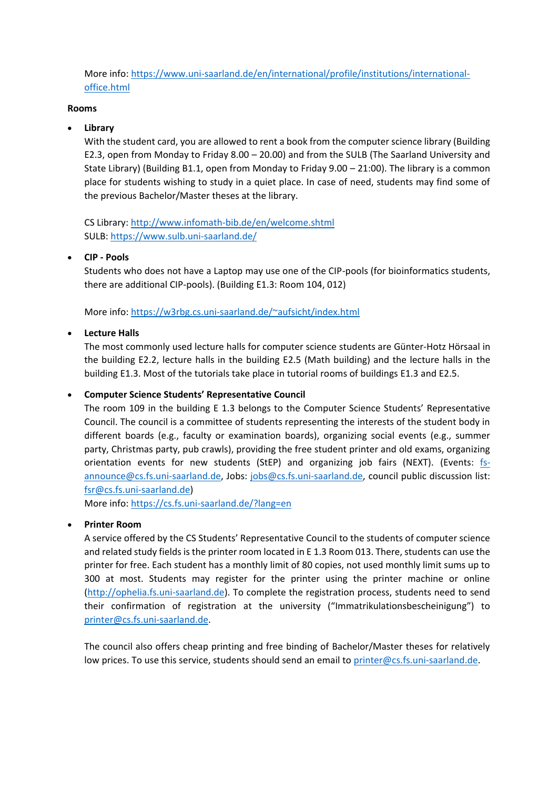More info: [https://www.uni-saarland.de/en/international/profile/institutions/international](https://www.uni-saarland.de/en/international/profile/institutions/international-office.html)[office.html](https://www.uni-saarland.de/en/international/profile/institutions/international-office.html)

#### <span id="page-8-0"></span>**Rooms**

## **Library**

With the student card, you are allowed to rent a book from the computer science library (Building E2.3, open from Monday to Friday 8.00 – 20.00) and from the SULB (The Saarland University and State Library) (Building B1.1, open from Monday to Friday 9.00 – 21:00). The library is a common place for students wishing to study in a quiet place. In case of need, students may find some of the previous Bachelor/Master theses at the library.

CS Library[: http://www.infomath-bib.de/en/welcome.shtml](http://www.infomath-bib.de/en/welcome.shtml) SULB:<https://www.sulb.uni-saarland.de/>

## **CIP - Pools**

Students who does not have a Laptop may use one of the CIP-pools (for bioinformatics students, there are additional CIP-pools). (Building E1.3: Room 104, 012)

More info:<https://w3rbg.cs.uni-saarland.de/~aufsicht/index.html>

### **Lecture Halls**

The most commonly used lecture halls for computer science students are Günter-Hotz Hörsaal in the building E2.2, lecture halls in the building E2.5 (Math building) and the lecture halls in the building E1.3. Most of the tutorials take place in tutorial rooms of buildings E1.3 and E2.5.

### **Computer Science Students' Representative Council**

The room 109 in the building E 1.3 belongs to the Computer Science Students' Representative Council. The council is a committee of students representing the interests of the student body in different boards (e.g., faculty or examination boards), organizing social events (e.g., summer party, Christmas party, pub crawls), providing the free student printer and old exams, organizing orientation events for new students (StEP) and organizing job fairs (NEXT). (Events: [fs](mailto:fs-announce@cs.fs.uni-saarland.de)[announce@cs.fs.uni-saarland.de,](mailto:fs-announce@cs.fs.uni-saarland.de) Jobs: [jobs@cs.fs.uni-saarland.de,](mailto:jobs@cs.fs.uni-saarland.de) council public discussion list: [fsr@cs.fs.uni-saarland.de\)](mailto:fsr@cs.fs.uni-saarland.de)

More info:<https://cs.fs.uni-saarland.de/?lang=en>

## **Printer Room**

A service offered by the CS Students' Representative Council to the students of computer science and related study fields is the printer room located in E 1.3 Room 013. There, students can use the printer for free. Each student has a monthly limit of 80 copies, not used monthly limit sums up to 300 at most. Students may register for the printer using the printer machine or online [\(http://ophelia.fs.uni-saarland.de\)](http://ophelia.fs.uni-saarland.de/). To complete the registration process, students need to send their confirmation of registration at the university ("Immatrikulationsbescheinigung") to [printer@cs.fs.uni-saarland.de.](mailto:printer@cs.fs.uni-saarland.de)

The council also offers cheap printing and free binding of Bachelor/Master theses for relatively low prices. To use this service, students should send an email to [printer@cs.fs.uni-saarland.de.](mailto:printer@cs.fs.uni-saarland.de)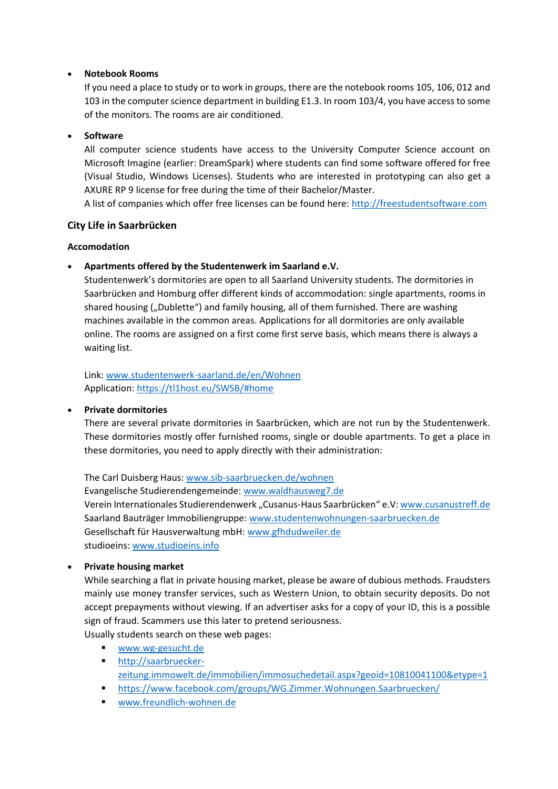### **Notebook Rooms**

If you need a place to study or to work in groups, there are the notebook rooms 105, 106, 012 and 103 in the computer science department in building E1.3. In room 103/4, you have accessto some of the monitors. The rooms are air conditioned.

### **Software**

All computer science students have access to the University Computer Science account on Microsoft Imagine (earlier: DreamSpark) where students can find some software offered for free (Visual Studio, Windows Licenses). Students who are interested in prototyping can also get a AXURE RP 9 license for free during the time of their Bachelor/Master.

A list of companies which offer free licenses can be found here: [http://freestudentsoftware.com](http://freestudentsoftware.com/)

### <span id="page-9-0"></span>**City Life in Saarbrücken**

#### <span id="page-9-1"></span>**Accomodation**

**Apartments offered by the Studentenwerk im Saarland e.V.**

Studentenwerk's dormitories are open to all Saarland University students. The dormitories in Saarbrücken and Homburg offer different kinds of accommodation: single apartments, rooms in shared housing ("Dublette") and family housing, all of them furnished. There are washing machines available in the common areas. Applications for all dormitories are only available online. The rooms are assigned on a first come first serve basis, which means there is always a waiting list.

Link: [www.studentenwerk-saarland.de/en/Wohnen](http://www.studentenwerk-saarland.de/en/Wohnen) Application:<https://tl1host.eu/SWSB/#home>

#### **Private dormitories**

There are several private dormitories in Saarbrücken, which are not run by the Studentenwerk. These dormitories mostly offer furnished rooms, single or double apartments. To get a place in these dormitories, you need to apply directly with their administration:

The Carl Duisberg Haus: [www.sib-saarbruecken.de/wohnen](http://www.sib-saarbruecken.de/wohnen) Evangelische Studierendengemeinde: [www.waldhausweg7.de](http://www.waldhausweg7.de/) Verein Internationales Studierendenwerk "Cusanus-Haus Saarbrücken" e.V: [www.cusanustreff.de](http://www.cusanustreff.de/) Saarland Bauträger Immobiliengruppe: [www.studentenwohnungen-saarbruecken.de](http://www.studentenwohnungen-saarbruecken.de/) Gesellschaft für Hausverwaltung mbH: [www.gfhdudweiler.de](http://www.gfhdudweiler.de/) studioeins: [www.studioeins.info](http://www.studioeins.info/)

## **Private housing market**

While searching a flat in private housing market, please be aware of dubious methods. Fraudsters mainly use money transfer services, such as Western Union, to obtain security deposits. Do not accept prepayments without viewing. If an advertiser asks for a copy of your ID, this is a possible sign of fraud. Scammers use this later to pretend seriousness.

Usually students search on these web pages:

- [www.wg-gesucht.de](http://www.wg-gesucht.de/)
- [http://saarbruecker](http://saarbruecker-zeitung.immowelt.de/immobilien/immosuchedetail.aspx?geoid=10810041100&etype=1)[zeitung.immowelt.de/immobilien/immosuchedetail.aspx?geoid=10810041100&etype=1](http://saarbruecker-zeitung.immowelt.de/immobilien/immosuchedetail.aspx?geoid=10810041100&etype=1)
- <https://www.facebook.com/groups/WG.Zimmer.Wohnungen.Saarbruecken/>
- [www.freundlich-wohnen.de](http://www.freundlich-wohnen.de/)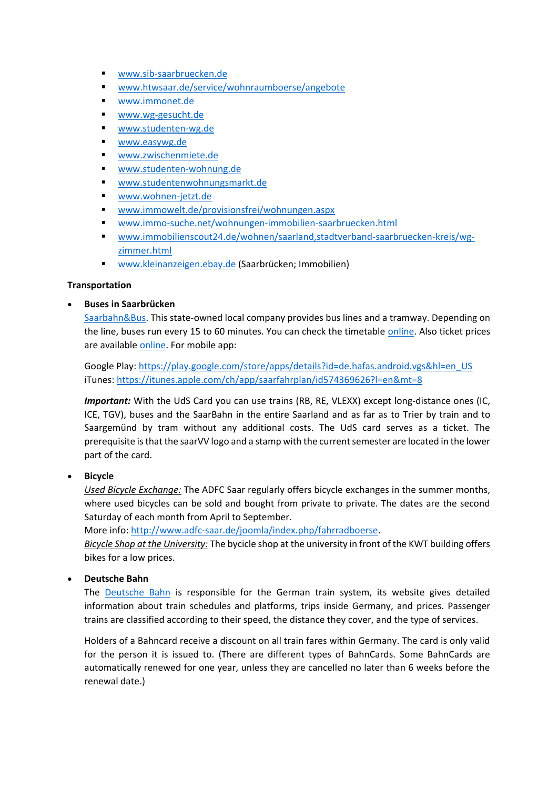- [www.sib-saarbruecken.de](http://www.sib-saarbruecken.de/)
- [www.htwsaar.de/service/wohnraumboerse/angebote](http://www.htwsaar.de/service/wohnraumboerse/angebote)
- [www.immonet.de](http://www.immonet.de/)
- [www.wg-gesucht.de](http://www.wg-gesucht.de/)
- [www.studenten-wg.de](http://www.studenten-wg.de/)
- [www.easywg.de](http://www.easywg.de/)
- [www.zwischenmiete.de](http://www.zwischenmiete.de/)
- [www.studenten-wohnung.de](http://www.studenten-wohnung.de/)
- [www.studentenwohnungsmarkt.de](http://www.studentenwohnungsmarkt.de/)
- [www.wohnen-jetzt.de](http://www.wohnen-jetzt.de/)
- [www.immowelt.de/provisionsfrei/wohnungen.aspx](http://www.immowelt.de/provisionsfrei/wohnungen.aspx)
- [www.immo-suche.net/wohnungen-immobilien-saarbruecken.html](http://www.immo-suche.net/wohnungen-immobilien-saarbruecken.html)
- [www.immobilienscout24.de/wohnen/saarland,stadtverband-saarbruecken-kreis/wg](http://www.immobilienscout24.de/wohnen/saarland,stadtverband-saarbruecken-kreis/wg-zimmer.html)[zimmer.html](http://www.immobilienscout24.de/wohnen/saarland,stadtverband-saarbruecken-kreis/wg-zimmer.html)
- **WWW.kleinanzeigen.ebay.de (Saarbrücken; Immobilien)**

## <span id="page-10-0"></span>**Transportation**

## **Buses in Saarbrücken**

[Saarbahn&Bus.](http://www.saarbahn.de/) This state-owned local company provides bus lines and a tramway. Depending on the line, buses run every 15 to 60 minutes. You can check the timetable [online.](http://www.saarfahrplan.de/cgi-bin/query.exe/en?) Also ticket prices are available [online.](http://www.saarbahn.de/fahrpreise/fahrkartenfinder) For mobile app:

Google Play: [https://play.google.com/store/apps/details?id=de.hafas.android.vgs&hl=en\\_US](https://play.google.com/store/apps/details?id=de.hafas.android.vgs&hl=en_US) iTunes[: https://itunes.apple.com/ch/app/saarfahrplan/id574369626?l=en&mt=8](https://itunes.apple.com/ch/app/saarfahrplan/id574369626?l=en&mt=8)

*Important:* With the UdS Card you can use trains (RB, RE, VLEXX) except long-distance ones (IC, ICE, TGV), buses and the SaarBahn in the entire Saarland and as far as to Trier by train and to Saargemünd by tram without any additional costs. The UdS card serves as a ticket. The prerequisite is that the saarVV logo and a stamp with the current semester are located in the lower part of the card.

**Bicycle**

*Used Bicycle Exchange:* The ADFC Saar regularly offers bicycle exchanges in the summer months, where used bicycles can be sold and bought from private to private. The dates are the second Saturday of each month from April to September.

More info: [http://www.adfc-saar.de/joomla/index.php/fahrradboerse.](http://www.adfc-saar.de/joomla/index.php/fahrradboerse)

*Bicycle Shop at the University:* The bycicle shop at the university in front of the KWT building offers bikes for a low prices.

## **Deutsche Bahn**

The [Deutsche Bahn](https://www.bahn.de/p/view/angebot/index.shtml?dbkanal_007=L01_S01_D001_KIN0004_top-navi_berater_LZ01) is responsible for the German train system, its website gives detailed information about train schedules and platforms, trips inside Germany, and prices. Passenger trains are classified according to their speed, the distance they cover, and the type of services.

Holders of a Bahncard receive a discount on all train fares within Germany. The card is only valid for the person it is issued to. (There are different types of BahnCards. Some BahnCards are automatically renewed for one year, unless they are cancelled no later than 6 weeks before the renewal date.)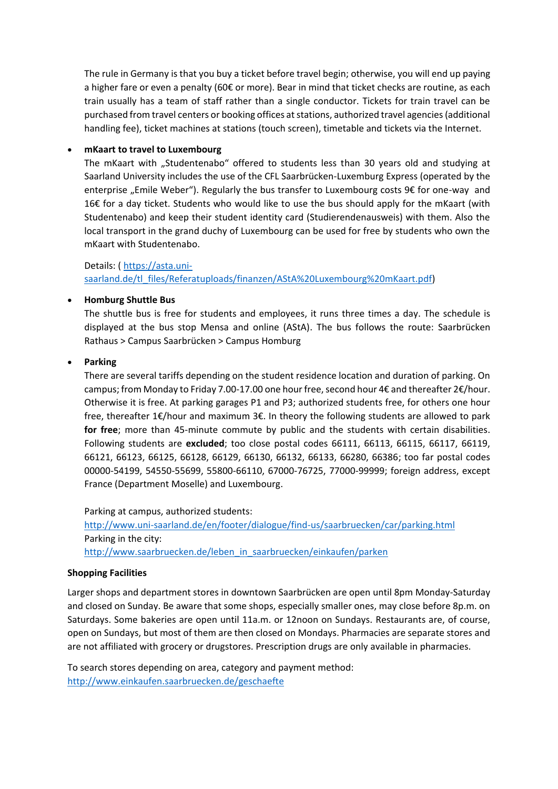The rule in Germany is that you buy a ticket before travel begin; otherwise, you will end up paying a higher fare or even a penalty (60€ or more). Bear in mind that ticket checks are routine, as each train usually has a team of staff rather than a single conductor. Tickets for train travel can be purchased from travel centers or booking offices at stations, authorized travel agencies (additional handling fee), ticket machines at stations (touch screen), timetable and tickets via the Internet.

### **mKaart to travel to Luxembourg**

The mKaart with "Studentenabo" offered to students less than 30 years old and studying at Saarland University includes the use of the CFL Saarbrücken-Luxemburg Express (operated by the enterprise "Emile Weber"). Regularly the bus transfer to Luxembourg costs  $9 \epsilon$  for one-way and 16€ for a day ticket. Students who would like to use the bus should apply for the mKaart (with Studentenabo) and keep their student identity card (Studierendenausweis) with them. Also the local transport in the grand duchy of Luxembourg can be used for free by students who own the mKaart with Studentenabo.

## Details: ( [https://asta.uni](https://asta.uni-saarland.de/tl_files/Referatuploads/finanzen/AStA%20Luxembourg%20mKaart.pdf)[saarland.de/tl\\_files/Referatuploads/finanzen/AStA%20Luxembourg%20mKaart.pdf\)](https://asta.uni-saarland.de/tl_files/Referatuploads/finanzen/AStA%20Luxembourg%20mKaart.pdf)

### **Homburg Shuttle Bus**

The shuttle bus is free for students and employees, it runs three times a day. The schedule is displayed at the bus stop Mensa and online (AStA). The bus follows the route: Saarbrücken Rathaus > Campus Saarbrücken > Campus Homburg

### **Parking**

There are several tariffs depending on the student residence location and duration of parking. On campus; from Monday to Friday 7.00-17.00 one hour free, second hour 4€ and thereafter 2€/hour. Otherwise it is free. At parking garages P1 and P3; authorized students free, for others one hour free, thereafter 1€/hour and maximum 3€. In theory the following students are allowed to park **for free**; more than 45-minute commute by public and the students with certain disabilities. Following students are **excluded**; too close postal codes 66111, 66113, 66115, 66117, 66119, 66121, 66123, 66125, 66128, 66129, 66130, 66132, 66133, 66280, 66386; too far postal codes 00000-54199, 54550-55699, 55800-66110, 67000-76725, 77000-99999; foreign address, except France (Department Moselle) and Luxembourg.

Parking at campus, authorized students:

<http://www.uni-saarland.de/en/footer/dialogue/find-us/saarbruecken/car/parking.html> Parking in the city: [http://www.saarbruecken.de/leben\\_in\\_saarbruecken/einkaufen/parken](http://www.saarbruecken.de/leben_in_saarbruecken/einkaufen/parken)

#### <span id="page-11-0"></span>**Shopping Facilities**

Larger shops and department stores in downtown Saarbrücken are open until 8pm Monday-Saturday and closed on Sunday. Be aware that some shops, especially smaller ones, may close before 8p.m. on Saturdays. Some bakeries are open until 11a.m. or 12noon on Sundays. Restaurants are, of course, open on Sundays, but most of them are then closed on Mondays. Pharmacies are separate stores and are not affiliated with grocery or drugstores. Prescription drugs are only available in pharmacies.

To search stores depending on area, category and payment method: <http://www.einkaufen.saarbruecken.de/geschaefte>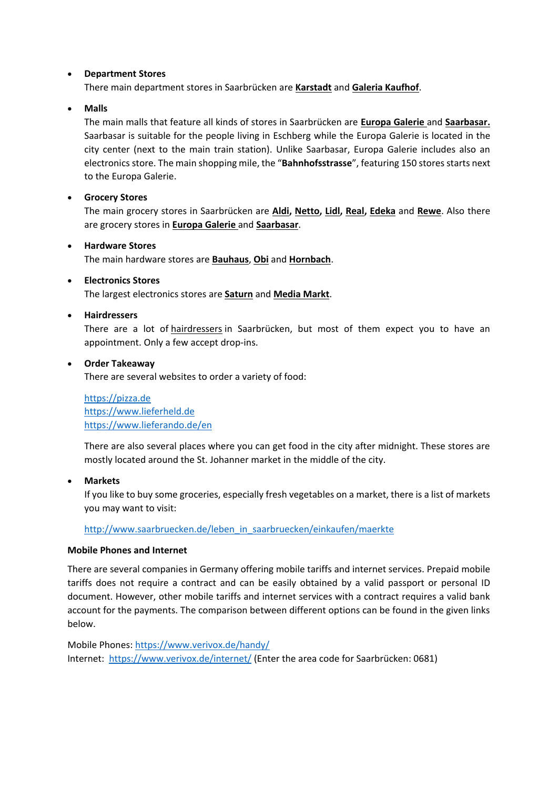#### **Department Stores**

There main department stores in Saarbrücken are **[Karstadt](http://www.karstadt.de/on/demandware.store/Sites-Karstadt-Site/de/Stores-Details?StoreID=001186&src=90L100001)** and **[Galeria Kaufhof](http://www.galeria-kaufhof.de/filialen/saarbruecken/?adword=Google_Brand/Brand_Filialen/Saarbr%FCcken/+galeria%20+kaufhof%20+saarbr%FCcken&empid=intelliad&empcode=4309341141&empcode2=41020941381&gclid=CPStzL2G070CFUoJwwodU5MAzQ)**.

**Malls**

The main malls that feature all kinds of stores in Saarbrücken are **[Europa Galerie](http://www.europagalerie.de/)** and **[Saarbasar.](http://www.saarbasar.de/)**  Saarbasar is suitable for the people living in Eschberg while the Europa Galerie is located in the city center (next to the main train station). Unlike Saarbasar, Europa Galerie includes also an electronics store. The main shopping mile, the "Bahnhofsstrasse", featuring 150 stores starts next to the Europa Galerie.

**Grocery Stores**

The main grocery stores in Saarbrücken are **[Aldi,](https://www.aldi-sued.de/) [Netto,](http://www.netto.de/Pages/HOME.aspx) [Lidl,](http://www.lidl.de/) [Real,](http://www.real.de/markt-saarbruecken-breslauer-strasse) [Edeka](http://www.edeka.de/EDEKA/de/edeka_zentrale/homepage.jsp)** and **[Rewe](http://www.rewe.de/)**. Also there are grocery stores in **[Europa Galerie](http://www.europagalerie.de/)** and **[Saarbasar](http://www.saarbasar.de/)**.

#### **Hardware Stores**

The main hardware stores are **[Bauhaus](https://www.bauhaus.info/fachcentren/fachcentrum-saarbruecken/fc/638)**, **[Obi](https://www.obi.de/baumarkt/sankt-ingbert/?wt_mc=GP.de511_Sankt-Ingbert...)** and **[Hornbach](https://www.hornbach.de/cms/de/de/mein_hornbach/hornbach_maerkte/hornbach-saarbruecken.html?WT.z_places=635)**.

### **Electronics Stores**

The largest electronics stores are **[Saturn](http://www.saturn.de/)** and **[Media Markt](http://www.mediamarkt.de/)**.

### **Hairdressers**

There are a lot of [hairdressers](http://www.gelbeseiten.de/friseur/saarbruecken?wwac_name=%5bstadt_00044%5d:%2520saarbr%25C3%25BCcken&wwac_id=716858&wwac_med=cpc&wwac_src=google.de&wwac_el=textanzeige&gclid=CLmw6tSL070CFczItAodDgMAzQ) in Saarbrücken, but most of them expect you to have an appointment. Only a few accept drop-ins.

### **Order Takeaway**

There are several websites to order a variety of food:

[https://pizza.de](https://pizza.de/) [https://www.lieferheld.de](https://www.lieferheld.de/) <https://www.lieferando.de/en>

There are also several places where you can get food in the city after midnight. These stores are mostly located around the St. Johanner market in the middle of the city.

**Markets**

If you like to buy some groceries, especially fresh vegetables on a market, there is a list of markets you may want to visit:

[http://www.saarbruecken.de/leben\\_in\\_saarbruecken/einkaufen/maerkte](http://www.saarbruecken.de/leben_in_saarbruecken/einkaufen/maerkte)

#### <span id="page-12-0"></span>**Mobile Phones and Internet**

There are several companies in Germany offering mobile tariffs and internet services. Prepaid mobile tariffs does not require a contract and can be easily obtained by a valid passport or personal ID document. However, other mobile tariffs and internet services with a contract requires a valid bank account for the payments. The comparison between different options can be found in the given links below.

Mobile Phones: <https://www.verivox.de/handy/> Internet: <https://www.verivox.de/internet/> (Enter the area code for Saarbrücken: 0681)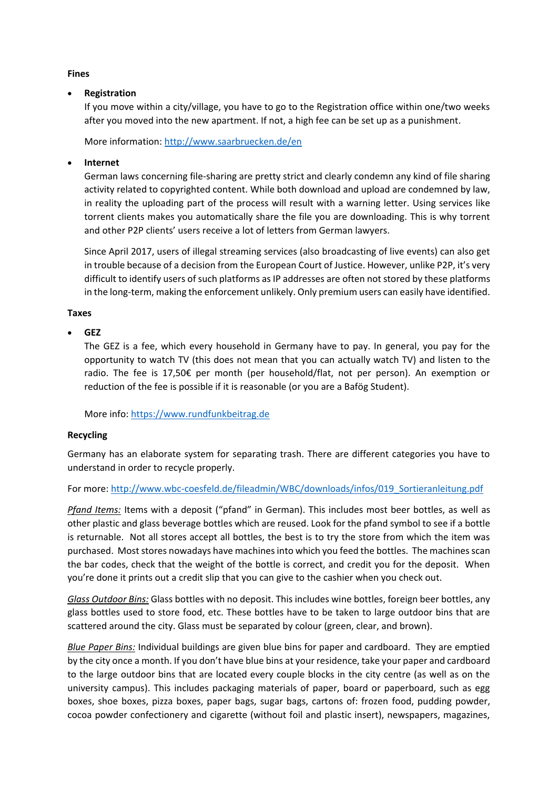#### <span id="page-13-0"></span>**Fines**

### **Registration**

If you move within a city/village, you have to go to the Registration office within one/two weeks after you moved into the new apartment. If not, a high fee can be set up as a punishment.

More information[: http://www.saarbruecken.de/en](http://www.saarbruecken.de/en)

## **Internet**

German laws concerning file-sharing are pretty strict and clearly condemn any kind of file sharing activity related to copyrighted content. While both download and upload are condemned by law, in reality the uploading part of the process will result with a warning letter. Using services like torrent clients makes you automatically share the file you are downloading. This is why torrent and other P2P clients' users receive a lot of letters from German lawyers.

Since April 2017, users of illegal streaming services (also broadcasting of live events) can also get in trouble because of a decision from the European Court of Justice. However, unlike P2P, it's very difficult to identify users of such platforms as IP addresses are often not stored by these platforms in the long-term, making the enforcement unlikely. Only premium users can easily have identified.

#### <span id="page-13-1"></span>**Taxes**

### **GEZ**

The GEZ is a fee, which every household in Germany have to pay. In general, you pay for the opportunity to watch TV (this does not mean that you can actually watch TV) and listen to the radio. The fee is 17,50€ per month (per household/flat, not per person). An exemption or reduction of the fee is possible if it is reasonable (or you are a Bafög Student).

More info: [https://www.rundfunkbeitrag.de](https://www.rundfunkbeitrag.de/)

## <span id="page-13-2"></span>**Recycling**

Germany has an elaborate system for separating trash. There are different categories you have to understand in order to recycle properly.

For more: [http://www.wbc-coesfeld.de/fileadmin/WBC/downloads/infos/019\\_Sortieranleitung.pdf](http://www.wbc-coesfeld.de/fileadmin/WBC/downloads/infos/019_Sortieranleitung.pdf)

*Pfand Items:* Items with a deposit ("pfand" in German). This includes most beer bottles, as well as other plastic and glass beverage bottles which are reused. Look for the pfand symbol to see if a bottle is returnable. Not all stores accept all bottles, the best is to try the store from which the item was purchased. Most stores nowadays have machines into which you feed the bottles. The machines scan the bar codes, check that the weight of the bottle is correct, and credit you for the deposit. When you're done it prints out a credit slip that you can give to the cashier when you check out.

*Glass Outdoor Bins:* Glass bottles with no deposit. This includes wine bottles, foreign beer bottles, any glass bottles used to store food, etc. These bottles have to be taken to large outdoor bins that are scattered around the city. Glass must be separated by colour (green, clear, and brown).

*Blue Paper Bins:* Individual buildings are given blue bins for paper and cardboard. They are emptied by the city once a month. If you don't have blue bins at your residence, take your paper and cardboard to the large outdoor bins that are located every couple blocks in the city centre (as well as on the university campus). This includes packaging materials of paper, board or paperboard, such as egg boxes, shoe boxes, pizza boxes, paper bags, sugar bags, cartons of: frozen food, pudding powder, cocoa powder confectionery and cigarette (without foil and plastic insert), newspapers, magazines,